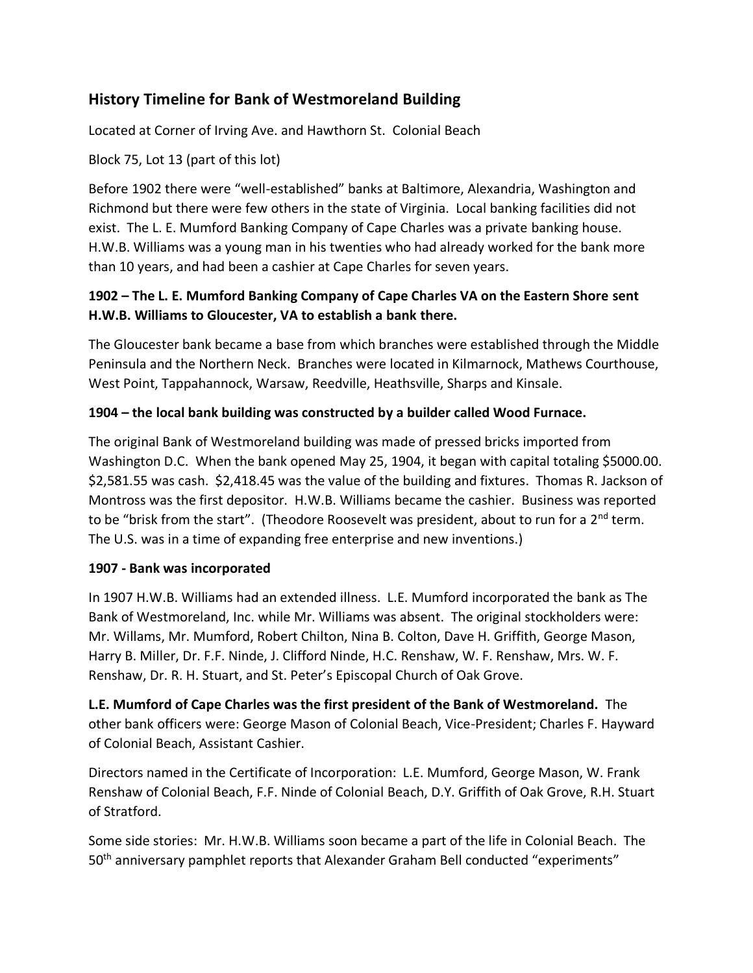# **History Timeline for Bank of Westmoreland Building**

Located at Corner of Irving Ave. and Hawthorn St. Colonial Beach

### Block 75, Lot 13 (part of this lot)

Before 1902 there were "well-established" banks at Baltimore, Alexandria, Washington and Richmond but there were few others in the state of Virginia. Local banking facilities did not exist. The L. E. Mumford Banking Company of Cape Charles was a private banking house. H.W.B. Williams was a young man in his twenties who had already worked for the bank more than 10 years, and had been a cashier at Cape Charles for seven years.

## **1902 – The L. E. Mumford Banking Company of Cape Charles VA on the Eastern Shore sent H.W.B. Williams to Gloucester, VA to establish a bank there.**

The Gloucester bank became a base from which branches were established through the Middle Peninsula and the Northern Neck. Branches were located in Kilmarnock, Mathews Courthouse, West Point, Tappahannock, Warsaw, Reedville, Heathsville, Sharps and Kinsale.

### **1904 – the local bank building was constructed by a builder called Wood Furnace.**

The original Bank of Westmoreland building was made of pressed bricks imported from Washington D.C. When the bank opened May 25, 1904, it began with capital totaling \$5000.00. \$2,581.55 was cash. \$2,418.45 was the value of the building and fixtures. Thomas R. Jackson of Montross was the first depositor. H.W.B. Williams became the cashier. Business was reported to be "brisk from the start". (Theodore Roosevelt was president, about to run for a 2<sup>nd</sup> term. The U.S. was in a time of expanding free enterprise and new inventions.)

#### **1907 - Bank was incorporated**

In 1907 H.W.B. Williams had an extended illness. L.E. Mumford incorporated the bank as The Bank of Westmoreland, Inc. while Mr. Williams was absent. The original stockholders were: Mr. Willams, Mr. Mumford, Robert Chilton, Nina B. Colton, Dave H. Griffith, George Mason, Harry B. Miller, Dr. F.F. Ninde, J. Clifford Ninde, H.C. Renshaw, W. F. Renshaw, Mrs. W. F. Renshaw, Dr. R. H. Stuart, and St. Peter's Episcopal Church of Oak Grove.

**L.E. Mumford of Cape Charles was the first president of the Bank of Westmoreland.** The other bank officers were: George Mason of Colonial Beach, Vice-President; Charles F. Hayward of Colonial Beach, Assistant Cashier.

Directors named in the Certificate of Incorporation: L.E. Mumford, George Mason, W. Frank Renshaw of Colonial Beach, F.F. Ninde of Colonial Beach, D.Y. Griffith of Oak Grove, R.H. Stuart of Stratford.

Some side stories: Mr. H.W.B. Williams soon became a part of the life in Colonial Beach. The 50<sup>th</sup> anniversary pamphlet reports that Alexander Graham Bell conducted "experiments"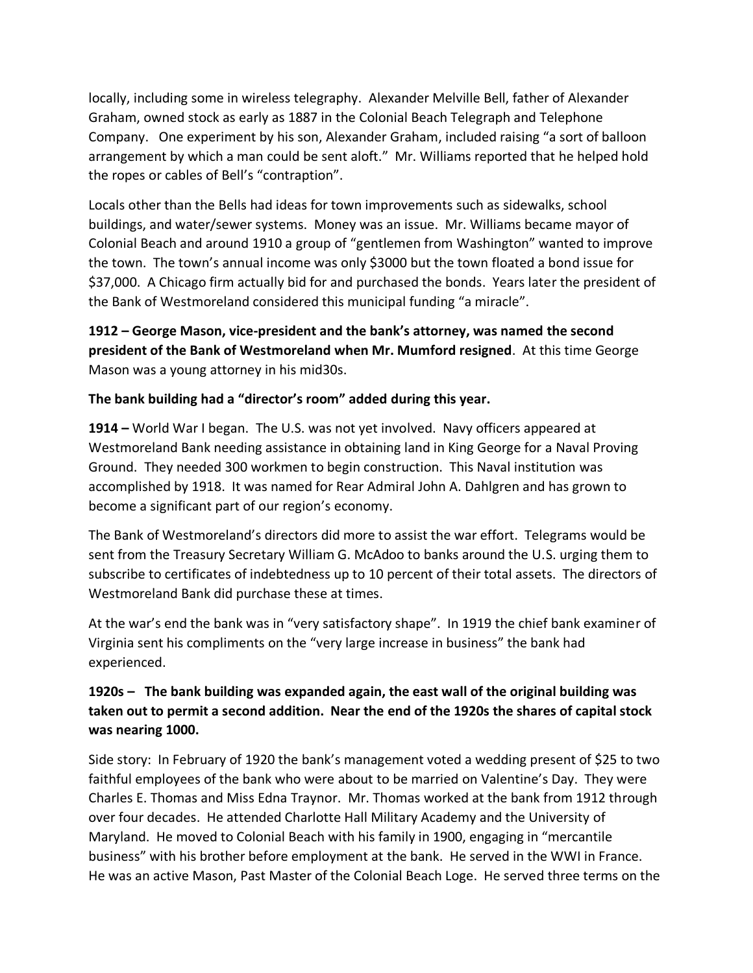locally, including some in wireless telegraphy. Alexander Melville Bell, father of Alexander Graham, owned stock as early as 1887 in the Colonial Beach Telegraph and Telephone Company. One experiment by his son, Alexander Graham, included raising "a sort of balloon arrangement by which a man could be sent aloft." Mr. Williams reported that he helped hold the ropes or cables of Bell's "contraption".

Locals other than the Bells had ideas for town improvements such as sidewalks, school buildings, and water/sewer systems. Money was an issue. Mr. Williams became mayor of Colonial Beach and around 1910 a group of "gentlemen from Washington" wanted to improve the town. The town's annual income was only \$3000 but the town floated a bond issue for \$37,000. A Chicago firm actually bid for and purchased the bonds. Years later the president of the Bank of Westmoreland considered this municipal funding "a miracle".

**1912 – George Mason, vice-president and the bank's attorney, was named the second president of the Bank of Westmoreland when Mr. Mumford resigned**. At this time George Mason was a young attorney in his mid30s.

#### **The bank building had a "director's room" added during this year.**

**1914 –** World War I began. The U.S. was not yet involved. Navy officers appeared at Westmoreland Bank needing assistance in obtaining land in King George for a Naval Proving Ground. They needed 300 workmen to begin construction. This Naval institution was accomplished by 1918. It was named for Rear Admiral John A. Dahlgren and has grown to become a significant part of our region's economy.

The Bank of Westmoreland's directors did more to assist the war effort. Telegrams would be sent from the Treasury Secretary William G. McAdoo to banks around the U.S. urging them to subscribe to certificates of indebtedness up to 10 percent of their total assets. The directors of Westmoreland Bank did purchase these at times.

At the war's end the bank was in "very satisfactory shape". In 1919 the chief bank examiner of Virginia sent his compliments on the "very large increase in business" the bank had experienced.

## **1920s – The bank building was expanded again, the east wall of the original building was taken out to permit a second addition. Near the end of the 1920s the shares of capital stock was nearing 1000.**

Side story: In February of 1920 the bank's management voted a wedding present of \$25 to two faithful employees of the bank who were about to be married on Valentine's Day. They were Charles E. Thomas and Miss Edna Traynor. Mr. Thomas worked at the bank from 1912 through over four decades. He attended Charlotte Hall Military Academy and the University of Maryland. He moved to Colonial Beach with his family in 1900, engaging in "mercantile business" with his brother before employment at the bank. He served in the WWI in France. He was an active Mason, Past Master of the Colonial Beach Loge. He served three terms on the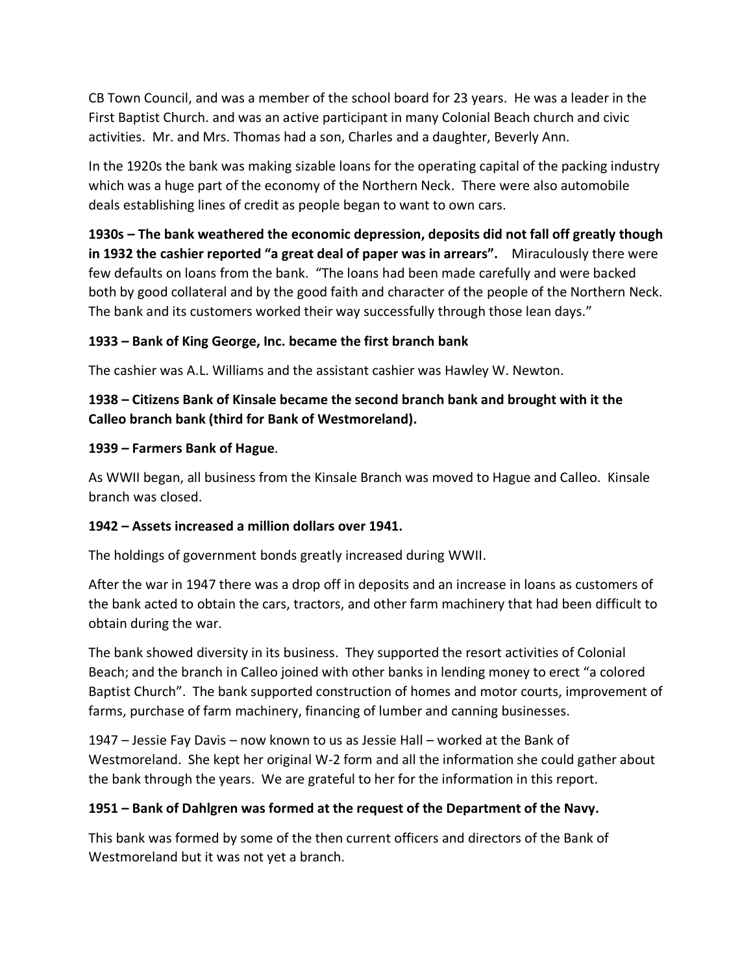CB Town Council, and was a member of the school board for 23 years. He was a leader in the First Baptist Church. and was an active participant in many Colonial Beach church and civic activities. Mr. and Mrs. Thomas had a son, Charles and a daughter, Beverly Ann.

In the 1920s the bank was making sizable loans for the operating capital of the packing industry which was a huge part of the economy of the Northern Neck. There were also automobile deals establishing lines of credit as people began to want to own cars.

**1930s – The bank weathered the economic depression, deposits did not fall off greatly though in 1932 the cashier reported "a great deal of paper was in arrears".** Miraculously there were few defaults on loans from the bank. "The loans had been made carefully and were backed both by good collateral and by the good faith and character of the people of the Northern Neck. The bank and its customers worked their way successfully through those lean days."

### **1933 – Bank of King George, Inc. became the first branch bank**

The cashier was A.L. Williams and the assistant cashier was Hawley W. Newton.

## **1938 – Citizens Bank of Kinsale became the second branch bank and brought with it the Calleo branch bank (third for Bank of Westmoreland).**

### **1939 – Farmers Bank of Hague**.

As WWII began, all business from the Kinsale Branch was moved to Hague and Calleo. Kinsale branch was closed.

## **1942 – Assets increased a million dollars over 1941.**

The holdings of government bonds greatly increased during WWII.

After the war in 1947 there was a drop off in deposits and an increase in loans as customers of the bank acted to obtain the cars, tractors, and other farm machinery that had been difficult to obtain during the war.

The bank showed diversity in its business. They supported the resort activities of Colonial Beach; and the branch in Calleo joined with other banks in lending money to erect "a colored Baptist Church". The bank supported construction of homes and motor courts, improvement of farms, purchase of farm machinery, financing of lumber and canning businesses.

1947 – Jessie Fay Davis – now known to us as Jessie Hall – worked at the Bank of Westmoreland. She kept her original W-2 form and all the information she could gather about the bank through the years. We are grateful to her for the information in this report.

## **1951 – Bank of Dahlgren was formed at the request of the Department of the Navy.**

This bank was formed by some of the then current officers and directors of the Bank of Westmoreland but it was not yet a branch.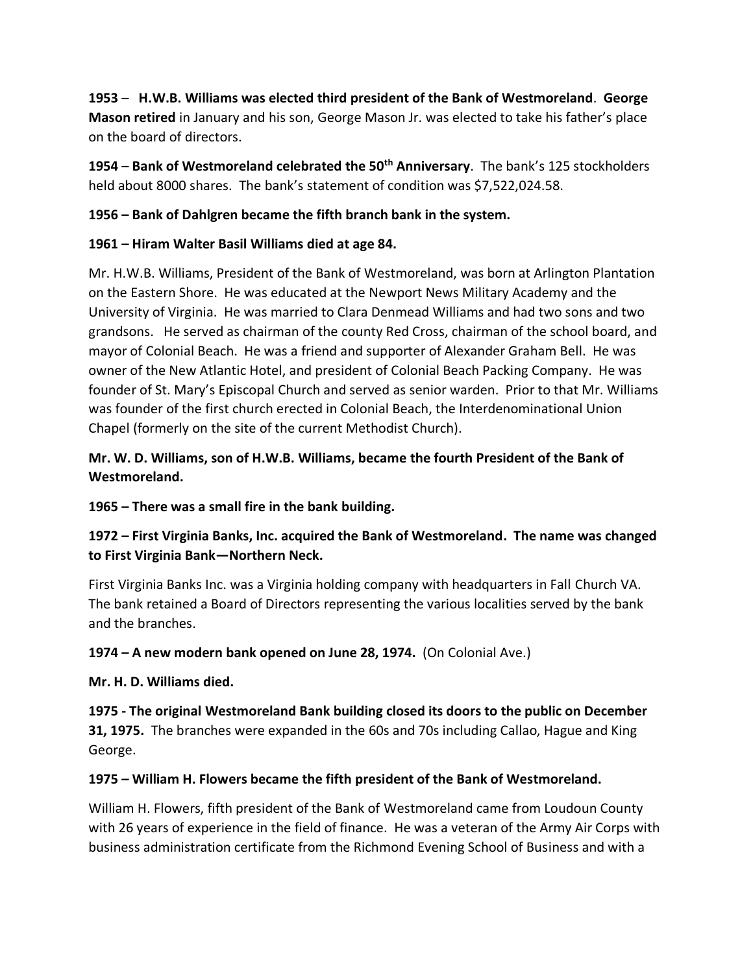**1953** – **H.W.B. Williams was elected third president of the Bank of Westmoreland**. **George Mason retired** in January and his son, George Mason Jr. was elected to take his father's place on the board of directors.

**1954** – **Bank of Westmoreland celebrated the 50th Anniversary**. The bank's 125 stockholders held about 8000 shares. The bank's statement of condition was \$7,522,024.58.

#### **1956 – Bank of Dahlgren became the fifth branch bank in the system.**

#### **1961 – Hiram Walter Basil Williams died at age 84.**

Mr. H.W.B. Williams, President of the Bank of Westmoreland, was born at Arlington Plantation on the Eastern Shore. He was educated at the Newport News Military Academy and the University of Virginia. He was married to Clara Denmead Williams and had two sons and two grandsons. He served as chairman of the county Red Cross, chairman of the school board, and mayor of Colonial Beach. He was a friend and supporter of Alexander Graham Bell. He was owner of the New Atlantic Hotel, and president of Colonial Beach Packing Company. He was founder of St. Mary's Episcopal Church and served as senior warden. Prior to that Mr. Williams was founder of the first church erected in Colonial Beach, the Interdenominational Union Chapel (formerly on the site of the current Methodist Church).

### **Mr. W. D. Williams, son of H.W.B. Williams, became the fourth President of the Bank of Westmoreland.**

**1965 – There was a small fire in the bank building.**

## **1972 – First Virginia Banks, Inc. acquired the Bank of Westmoreland. The name was changed to First Virginia Bank—Northern Neck.**

First Virginia Banks Inc. was a Virginia holding company with headquarters in Fall Church VA. The bank retained a Board of Directors representing the various localities served by the bank and the branches.

**1974 – A new modern bank opened on June 28, 1974.** (On Colonial Ave.)

#### **Mr. H. D. Williams died.**

**1975 - The original Westmoreland Bank building closed its doors to the public on December 31, 1975.** The branches were expanded in the 60s and 70s including Callao, Hague and King George.

#### **1975 – William H. Flowers became the fifth president of the Bank of Westmoreland.**

William H. Flowers, fifth president of the Bank of Westmoreland came from Loudoun County with 26 years of experience in the field of finance. He was a veteran of the Army Air Corps with business administration certificate from the Richmond Evening School of Business and with a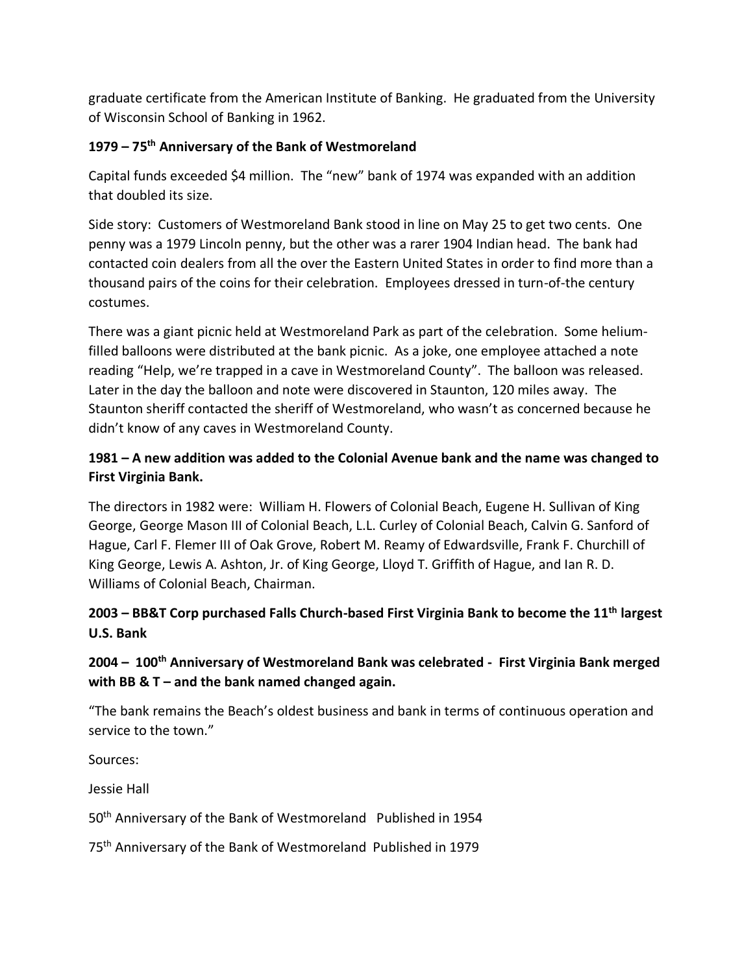graduate certificate from the American Institute of Banking. He graduated from the University of Wisconsin School of Banking in 1962.

### **1979 – 75th Anniversary of the Bank of Westmoreland**

Capital funds exceeded \$4 million. The "new" bank of 1974 was expanded with an addition that doubled its size.

Side story: Customers of Westmoreland Bank stood in line on May 25 to get two cents. One penny was a 1979 Lincoln penny, but the other was a rarer 1904 Indian head. The bank had contacted coin dealers from all the over the Eastern United States in order to find more than a thousand pairs of the coins for their celebration. Employees dressed in turn-of-the century costumes.

There was a giant picnic held at Westmoreland Park as part of the celebration. Some heliumfilled balloons were distributed at the bank picnic. As a joke, one employee attached a note reading "Help, we're trapped in a cave in Westmoreland County". The balloon was released. Later in the day the balloon and note were discovered in Staunton, 120 miles away. The Staunton sheriff contacted the sheriff of Westmoreland, who wasn't as concerned because he didn't know of any caves in Westmoreland County.

## **1981 – A new addition was added to the Colonial Avenue bank and the name was changed to First Virginia Bank.**

The directors in 1982 were: William H. Flowers of Colonial Beach, Eugene H. Sullivan of King George, George Mason III of Colonial Beach, L.L. Curley of Colonial Beach, Calvin G. Sanford of Hague, Carl F. Flemer III of Oak Grove, Robert M. Reamy of Edwardsville, Frank F. Churchill of King George, Lewis A. Ashton, Jr. of King George, Lloyd T. Griffith of Hague, and Ian R. D. Williams of Colonial Beach, Chairman.

## **2003 – BB&T Corp purchased Falls Church-based First Virginia Bank to become the 11th largest U.S. Bank**

# **2004 – 100th Anniversary of Westmoreland Bank was celebrated - First Virginia Bank merged with BB & T – and the bank named changed again.**

"The bank remains the Beach's oldest business and bank in terms of continuous operation and service to the town."

Sources:

Jessie Hall

50<sup>th</sup> Anniversary of the Bank of Westmoreland Published in 1954

75<sup>th</sup> Anniversary of the Bank of Westmoreland Published in 1979